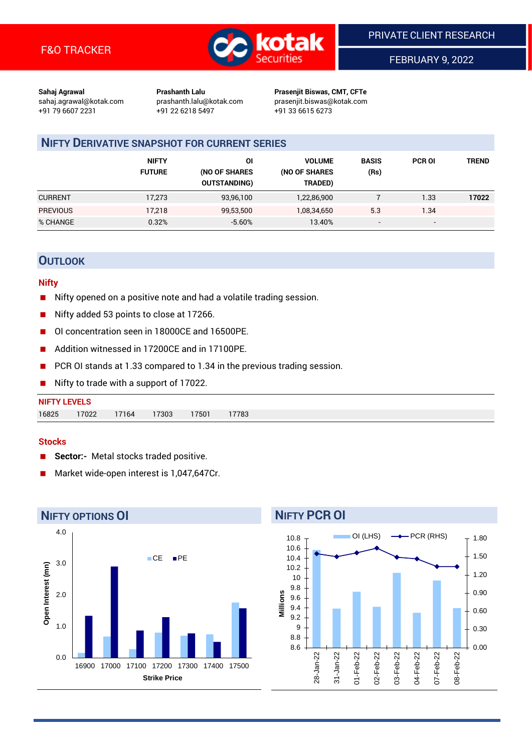

FEBRUARY 9, 2022

**Sahaj Agrawal Prashanth Lalu Prasenjit Biswas, CMT, CFTe** +91 79 6607 2231 +91 22 6218 5497 +91 33 6615 6273

sahaj.agrawal@kotak.com [prashanth.lalu@kotak.com](mailto:prashanth.lalu@kotak.com) prasenjit.biswas@kotak.com

### **NIFTY DERIVATIVE SNAPSHOT FOR CURRENT SERIES**

|                 | <b>NIFTY</b><br><b>FUTURE</b> | ΟI<br>(NO OF SHARES<br><b>OUTSTANDING)</b> | <b>VOLUME</b><br>(NO OF SHARES<br>TRADED) | <b>BASIS</b><br>(Rs)     | <b>PCR OI</b>            | TREND |
|-----------------|-------------------------------|--------------------------------------------|-------------------------------------------|--------------------------|--------------------------|-------|
| <b>CURRENT</b>  | 17,273                        | 93,96,100                                  | 1,22,86,900                               |                          | 1.33                     | 17022 |
| <b>PREVIOUS</b> | 17.218                        | 99,53,500                                  | 1,08,34,650                               | 5.3                      | 1.34                     |       |
| % CHANGE        | 0.32%                         | $-5.60%$                                   | 13.40%                                    | $\overline{\phantom{a}}$ | $\overline{\phantom{0}}$ |       |

#### **OUTLOOK**

#### **Nifty**

- Nifty opened on a positive note and had a volatile trading session.
- Nifty added 53 points to close at 17266.
- OI concentration seen in 18000CE and 16500PE.
- Addition witnessed in 17200CE and in 17100PE.
- PCR OI stands at 1.33 compared to 1.34 in the previous trading session.
- Nifty to trade with a support of 17022.

| <b>NIFTY LEVELS</b> |       |       |       |      |       |
|---------------------|-------|-------|-------|------|-------|
| 16825               | 17022 | 17164 | 17303 | 7501 | 17783 |

#### **Stocks**

- **Sector:-** Metal stocks traded positive.
- Market wide-open interest is 1,047,647Cr.



# **NIFTY PCR OI**

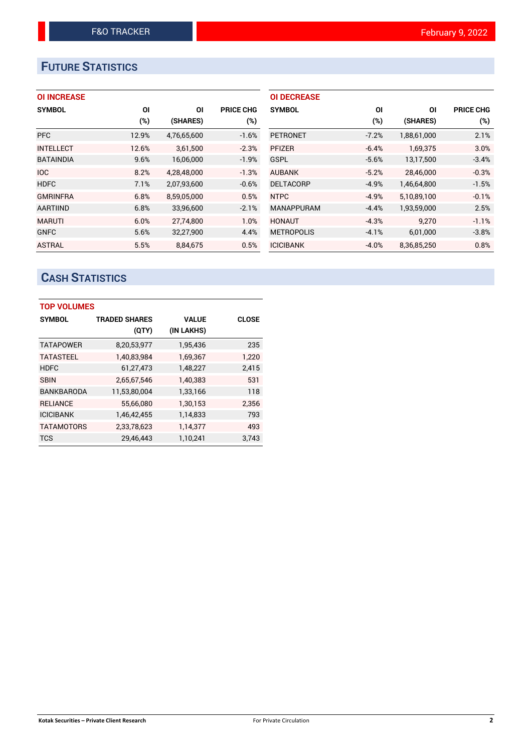## **FUTURE STATISTICS**

| <b>OI INCREASE</b> |  |  |  |  |
|--------------------|--|--|--|--|
|--------------------|--|--|--|--|

| <b>SYMBOL</b>    | ΟI     | ΟI          | <b>PRICE CHG</b> |
|------------------|--------|-------------|------------------|
|                  | $(\%)$ | (SHARES)    | (%)              |
| <b>PFC</b>       | 12.9%  | 4,76,65,600 | $-1.6%$          |
| <b>INTELLECT</b> | 12.6%  | 3,61,500    | $-2.3%$          |
| <b>BATAINDIA</b> | 9.6%   | 16,06,000   | $-1.9%$          |
| <b>IOC</b>       | 8.2%   | 4,28,48,000 | $-1.3%$          |
| <b>HDFC</b>      | 7.1%   | 2,07,93,600 | $-0.6%$          |
| <b>GMRINFRA</b>  | 6.8%   | 8,59,05,000 | 0.5%             |
| <b>AARTIIND</b>  | 6.8%   | 33,96,600   | $-2.1%$          |
| <b>MARUTI</b>    | 6.0%   | 27,74,800   | 1.0%             |
| <b>GNFC</b>      | 5.6%   | 32,27,900   | 4.4%             |
| <b>ASTRAL</b>    | 5.5%   | 8.84.675    | 0.5%             |

| ΟI      | ΟI          | <b>PRICE CHG</b> |
|---------|-------------|------------------|
| (%)     | (SHARES)    | (%)              |
| $-7.2%$ | 1,88,61,000 | 2.1%             |
| $-6.4%$ | 1.69.375    | 3.0%             |
| $-5.6%$ | 13,17,500   | $-3.4%$          |
| $-5.2%$ | 28.46.000   | $-0.3%$          |
| $-4.9%$ | 1,46,64,800 | $-1.5%$          |
| $-4.9%$ | 5,10,89,100 | $-0.1%$          |
| $-4.4%$ | 1,93,59,000 | 2.5%             |
| $-4.3%$ | 9,270       | $-1.1%$          |
| $-4.1%$ | 6,01,000    | $-3.8%$          |
| $-4.0%$ | 8.36.85.250 | 0.8%             |
|         |             |                  |

### **CASH STATISTICS**

| <b>TOP VOLUMES</b> |                      |              |              |  |  |  |  |
|--------------------|----------------------|--------------|--------------|--|--|--|--|
| <b>SYMBOL</b>      | <b>TRADED SHARES</b> | <b>VALUE</b> | <b>CLOSE</b> |  |  |  |  |
|                    | (QTY)                | (IN LAKHS)   |              |  |  |  |  |
| <b>TATAPOWER</b>   | 8,20,53,977          | 1,95,436     | 235          |  |  |  |  |
| <b>TATASTEEL</b>   | 1,40,83,984          | 1,69,367     | 1,220        |  |  |  |  |
| <b>HDFC</b>        | 61,27,473            | 1,48,227     | 2,415        |  |  |  |  |
| <b>SBIN</b>        | 2,65,67,546          | 1,40,383     | 531          |  |  |  |  |
| BANKBARODA         | 11,53,80,004         | 1,33,166     | 118          |  |  |  |  |
| <b>RELIANCE</b>    | 55,66,080            | 1,30,153     | 2,356        |  |  |  |  |
| <b>ICICIBANK</b>   | 1,46,42,455          | 1,14,833     | 793          |  |  |  |  |
| <b>TATAMOTORS</b>  | 2,33,78,623          | 1,14,377     | 493          |  |  |  |  |
| <b>TCS</b>         | 29.46.443            | 1,10,241     | 3.743        |  |  |  |  |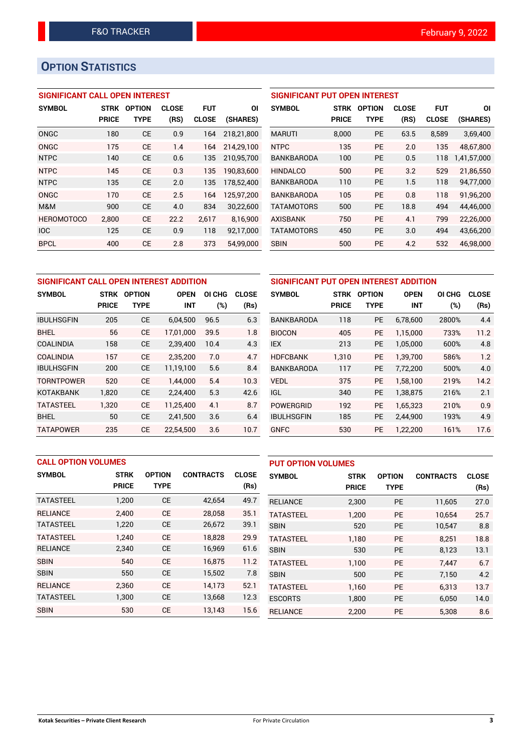### **OPTION STATISTICS**

#### **SIGNIFICANT CALL OPEN INTEREST**

| <b>SYMBOL</b>     | <b>STRK</b>  | <b>OPTION</b> | <b>CLOSE</b> | <b>FUT</b>   | ΟI         |
|-------------------|--------------|---------------|--------------|--------------|------------|
|                   | <b>PRICE</b> | TYPE          | (RS)         | <b>CLOSE</b> | (SHARES)   |
| ONGC              | 180          | CE            | 0.9          | 164          | 218,21,800 |
| ONGC              | 175          | <b>CE</b>     | 1.4          | 164          | 214,29,100 |
| <b>NTPC</b>       | 140          | CE            | 0.6          | 135          | 210,95,700 |
| <b>NTPC</b>       | 145          | CE            | 0.3          | 135          | 190,83,600 |
| <b>NTPC</b>       | 135          | CE            | 2.0          | 135          | 178,52,400 |
| ONGC              | 170          | CF            | 2.5          | 164          | 125,97,200 |
| M&M               | 900          | CE            | 4.0          | 834          | 30,22,600  |
| <b>HEROMOTOCO</b> | 2,800        | CF            | 22.2         | 2,617        | 8.16.900   |
| <b>IOC</b>        | 125          | CE            | 0.9          | 118          | 92,17,000  |
| <b>BPCL</b>       | 400          | CE            | 2.8          | 373          | 54.99.000  |

#### **SIGNIFICANT PUT OPEN INTEREST**

| <b>SYMBOL</b>     | <b>STRK</b><br><b>PRICE</b> | <b>OPTION</b><br>TYPE | <b>CLOSE</b><br>(RS) | <b>FUT</b><br><b>CLOSE</b> | ΟI<br>(SHARES) |
|-------------------|-----------------------------|-----------------------|----------------------|----------------------------|----------------|
| <b>MARUTI</b>     | 8,000                       | <b>PE</b>             | 63.5                 | 8,589                      | 3,69,400       |
| <b>NTPC</b>       | 135                         | PF                    | 2.0                  | 135                        | 48,67,800      |
| <b>BANKBARODA</b> | 100                         | PF                    | 0.5                  | 118                        | 1,41,57,000    |
| <b>HINDALCO</b>   | 500                         | PF                    | 3.2                  | 529                        | 21,86,550      |
| <b>BANKBARODA</b> | 110                         | PF                    | 1.5                  | 118                        | 94,77,000      |
| <b>BANKBARODA</b> | 105                         | PF                    | 0.8                  | 118                        | 91,96,200      |
| <b>TATAMOTORS</b> | 500                         | PF                    | 18.8                 | 494                        | 44,46,000      |
| <b>AXISBANK</b>   | 750                         | PF                    | 4.1                  | 799                        | 22,26,000      |
| <b>TATAMOTORS</b> | 450                         | <b>PE</b>             | 3.0                  | 494                        | 43,66,200      |
| <b>SBIN</b>       | 500                         | <b>PE</b>             | 4.2                  | 532                        | 46,98,000      |

| SIGNIFICANT CALL OPEN INTEREST ADDITION |              |               |             |        |              |  |  |  |
|-----------------------------------------|--------------|---------------|-------------|--------|--------------|--|--|--|
| <b>SYMBOL</b>                           | <b>STRK</b>  | <b>OPTION</b> | <b>OPEN</b> | OI CHG | <b>CLOSE</b> |  |  |  |
|                                         | <b>PRICE</b> | TYPE          | <b>INT</b>  | (%)    | (Rs)         |  |  |  |
| <b>IBULHSGFIN</b>                       | 205          | CE            | 6,04,500    | 96.5   | 6.3          |  |  |  |
| <b>BHEL</b>                             | 56           | <b>CE</b>     | 17,01,000   | 39.5   | 1.8          |  |  |  |
| COALINDIA                               | 158          | <b>CE</b>     | 2,39,400    | 10.4   | 4.3          |  |  |  |
| COALINDIA                               | 157          | <b>CE</b>     | 2,35,200    | 7.0    | 4.7          |  |  |  |
| <b>IBULHSGFIN</b>                       | 200          | <b>CE</b>     | 11,19,100   | 5.6    | 8.4          |  |  |  |
| <b>TORNTPOWER</b>                       | 520          | <b>CE</b>     | 1,44,000    | 5.4    | 10.3         |  |  |  |
| <b>KOTAKBANK</b>                        | 1,820        | <b>CE</b>     | 2,24,400    | 5.3    | 42.6         |  |  |  |
| <b>TATASTEEL</b>                        | 1,320        | <b>CE</b>     | 11,25,400   | 4.1    | 8.7          |  |  |  |
| BHEL                                    | 50           | <b>CE</b>     | 2.41.500    | 3.6    | 6.4          |  |  |  |
| <b>TATAPOWER</b>                        | 235          | <b>CE</b>     | 22.54.500   | 3.6    | 10.7         |  |  |  |

| SIGNIFICANT PUT OPEN INTEREST ADDITION |              |               |             |        |              |  |  |  |
|----------------------------------------|--------------|---------------|-------------|--------|--------------|--|--|--|
| <b>SYMBOL</b>                          | <b>STRK</b>  | <b>OPTION</b> | <b>OPEN</b> | OI CHG | <b>CLOSE</b> |  |  |  |
|                                        | <b>PRICE</b> | TYPE          | INT         | (%)    | (Rs)         |  |  |  |
| <b>BANKBARODA</b>                      | 118          | <b>PE</b>     | 6,78,600    | 2800%  | 4.4          |  |  |  |
| <b>BIOCON</b>                          | 405          | <b>PE</b>     | 1,15,000    | 733%   | 11.2         |  |  |  |
| <b>IEX</b>                             | 213          | <b>PE</b>     | 1,05,000    | 600%   | 4.8          |  |  |  |
| <b>HDFCBANK</b>                        | 1.310        | <b>PE</b>     | 1,39,700    | 586%   | 1.2          |  |  |  |
| <b>BANKBARODA</b>                      | 117          | <b>PE</b>     | 7,72,200    | 500%   | 4.0          |  |  |  |
| <b>VEDL</b>                            | 375          | <b>PE</b>     | 1,58,100    | 219%   | 14.2         |  |  |  |
| <b>IGL</b>                             | 340          | <b>PE</b>     | 1,38,875    | 216%   | 2.1          |  |  |  |
| <b>POWERGRID</b>                       | 192          | <b>PE</b>     | 1,65,323    | 210%   | 0.9          |  |  |  |
| <b>IBULHSGFIN</b>                      | 185          | <b>PE</b>     | 2,44,900    | 193%   | 4.9          |  |  |  |
| <b>GNFC</b>                            | 530          | <b>PE</b>     | 1,22,200    | 161%   | 17.6         |  |  |  |

|                  | <b>CALL OPTION VOLUMES</b> |               |                  |              |                  | <b>PUT OPTION VOLUMES</b> |               |                  |              |  |
|------------------|----------------------------|---------------|------------------|--------------|------------------|---------------------------|---------------|------------------|--------------|--|
| <b>SYMBOL</b>    | <b>STRK</b>                | <b>OPTION</b> | <b>CONTRACTS</b> | <b>CLOSE</b> | <b>SYMBOL</b>    | <b>STRK</b>               | <b>OPTION</b> | <b>CONTRACTS</b> | <b>CLOSE</b> |  |
|                  | <b>PRICE</b>               | <b>TYPE</b>   |                  | (Rs)         |                  | <b>PRICE</b>              | <b>TYPE</b>   |                  | (Rs)         |  |
| <b>TATASTEEL</b> | 1,200                      | <b>CE</b>     | 42,654           | 49.7         | <b>RELIANCE</b>  | 2,300                     | <b>PE</b>     | 11.605           | 27.0         |  |
| <b>RELIANCE</b>  | 2.400                      | <b>CE</b>     | 28,058           | 35.1         | <b>TATASTEEL</b> | 1.200                     | <b>PE</b>     | 10.654           | 25.7         |  |
| <b>TATASTEEL</b> | 1,220                      | <b>CE</b>     | 26,672           | 39.1         | <b>SBIN</b>      | 520                       | <b>PE</b>     | 10,547           | 8.8          |  |
| <b>TATASTEEL</b> | 1.240                      | <b>CE</b>     | 18.828           | 29.9         | <b>TATASTEEL</b> | 1.180                     | <b>PE</b>     | 8.251            | 18.8         |  |
| <b>RELIANCE</b>  | 2,340                      | <b>CE</b>     | 16,969           | 61.6         | <b>SBIN</b>      | 530                       | <b>PE</b>     | 8,123            | 13.1         |  |
| <b>SBIN</b>      | 540                        | <b>CE</b>     | 16.875           | 11.2         | <b>TATASTEEL</b> | 1.100                     | <b>PE</b>     | 7.447            | 6.7          |  |
| <b>SBIN</b>      | 550                        | <b>CE</b>     | 15,502           | 7.8          | <b>SBIN</b>      | 500                       | <b>PE</b>     | 7,150            | 4.2          |  |
| <b>RELIANCE</b>  | 2.360                      | <b>CE</b>     | 14.173           | 52.1         | <b>TATASTEEL</b> | 1,160                     | <b>PE</b>     | 6.313            | 13.7         |  |
| <b>TATASTEEL</b> | 1,300                      | <b>CE</b>     | 13,668           | 12.3         | <b>ESCORTS</b>   | 1,800                     | <b>PE</b>     | 6,050            | 14.0         |  |
| <b>SBIN</b>      | 530                        | <b>CE</b>     | 13,143           | 15.6         | <b>RELIANCE</b>  | 2.200                     | PE            | 5,308            | 8.6          |  |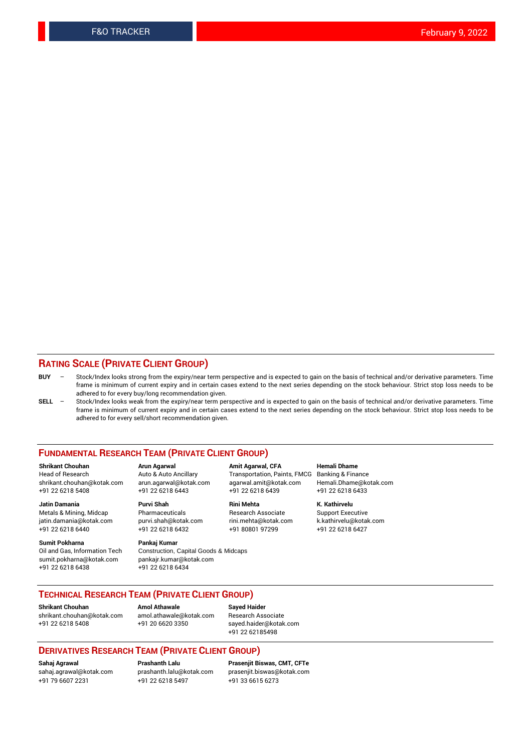#### **RATING SCALE (PRIVATE CLIENT GROUP)**

- **BUY**  Stock/Index looks strong from the expiry/near term perspective and is expected to gain on the basis of technical and/or derivative parameters. Time frame is minimum of current expiry and in certain cases extend to the next series depending on the stock behaviour. Strict stop loss needs to be adhered to for every buy/long recommendation given.
- **SELL** Stock/Index looks weak from the expiry/near term perspective and is expected to gain on the basis of technical and/or derivative parameters. Time frame is minimum of current expiry and in certain cases extend to the next series depending on the stock behaviour. Strict stop loss needs to be adhered to for every sell/short recommendation given.

#### **FUNDAMENTAL RESEARCH TEAM (PRIVATE CLIENT GROUP)**

**Shrikant Chouhan Arun Agarwal Amit Agarwal, CFA Hemali Dhame** shrikant.chouhan@kotak.com arun.agarwal@kotak.com agarwal.amit@kotak.com Hemali.Dhame@kotak.com +91 22 6218 5408 +91 22 6218 6443 +91 22 6218 6439 +91 22 6218 6433

Metals & Mining, Midcap Pharmaceuticals Pharmaceuticals Research Associate Support Executive<br>
iatin.damania@kotak.com purvi.shah@kotak.com rini.mehta@kotak.com k.kathirvelu@kotak.com jatin.damania@kotak.com

**Sumit Pokharna** Pankaj Kumar<br>Oil and Gas, Information Tech Construction, sumit.pokharna@kotak.com pankajr.kumar@kotak.com

Construction, Capital Goods & Midcaps +91 22 6218 6438 +91 22 6218 6434

Transportation, Paints, FMCG

**Jatin Damania Purvi Shah Rini Mehta K. Kathirvelu** +91 22 6218 6440 +91 22 6218 6432 +91 80801 97299 +91 22 6218 6427

#### **TECHNICAL RESEARCH TEAM (PRIVATE CLIENT GROUP)**

**Shrikant Chouhan Amol Athawale Sayed Haider** [shrikant.chouhan@kotak.com](mailto:shrikant.chouhan@kotak.com) [amol.athawale@kotak.com](mailto:amol.athawale@kotak.com) Research Associate +91 22 6218 5408 +91 20 6620 3350 [sayed.haider@kotak.com](mailto:sayed.haider@kotak.com)

+91 22 62185498

#### **DERIVATIVES RESEARCH TEAM (PRIVATE CLIENT GROUP)**

+91 79 6607 2231 +91 22 6218 5497 +91 33 6615 6273

**Sahaj Agrawal Prashanth Lalu Prasenjit Biswas, CMT, CFTe** [prasenjit.biswas@kotak.com](mailto:prasenjit.biswas@kotak.com)